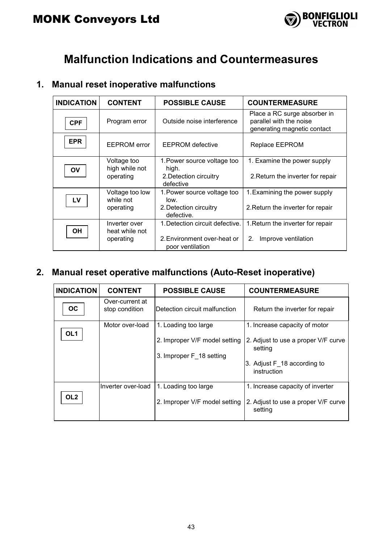

### **Malfunction Indications and Countermeasures**

#### **1. Manual reset inoperative malfunctions**

| <b>INDICATION</b> | <b>CONTENT</b>                               | <b>POSSIBLE CAUSE</b>                                                              | <b>COUNTERMEASURE</b>                                                                  |  |
|-------------------|----------------------------------------------|------------------------------------------------------------------------------------|----------------------------------------------------------------------------------------|--|
| <b>CPF</b>        | Program error                                | Outside noise interference                                                         | Place a RC surge absorber in<br>parallel with the noise<br>generating magnetic contact |  |
| <b>EPR</b>        | <b>EEPROM</b> error                          | <b>EEPROM</b> defective                                                            | Replace EEPROM                                                                         |  |
| OV                | Voltage too<br>high while not<br>operating   | 1. Power source voltage too<br>high.<br>2. Detection circuitry<br>defective        | 1. Examine the power supply<br>2. Return the inverter for repair                       |  |
| LV                | Voltage too low<br>while not<br>operating    | 1. Power source voltage too<br>low.<br>2. Detection circuitry<br>defective.        | 1. Examining the power supply<br>2. Return the inverter for repair                     |  |
| OH                | Inverter over<br>heat while not<br>operating | 1. Detection circuit defective.<br>2. Environment over-heat or<br>poor ventilation | 1. Return the inverter for repair<br>2.<br>Improve ventilation                         |  |

### **2. Manual reset operative malfunctions (Auto-Reset inoperative)**

| <b>INDICATION</b> | <b>CONTENT</b>                    | <b>POSSIBLE CAUSE</b>         | <b>COUNTERMEASURE</b>                          |  |
|-------------------|-----------------------------------|-------------------------------|------------------------------------------------|--|
| OС                | Over-current at<br>stop condition | Detection circuit malfunction | Return the inverter for repair                 |  |
|                   | Motor over-load                   | 1. Loading too large          | 1. Increase capacity of motor                  |  |
| OL <sub>1</sub>   |                                   | 2. Improper V/F model setting | 2. Adjust to use a proper V/F curve<br>setting |  |
|                   |                                   | 3. Improper F 18 setting      |                                                |  |
|                   |                                   |                               | 3. Adjust F 18 according to<br>instruction     |  |
|                   | Inverter over-load                | 1. Loading too large          | 1. Increase capacity of inverter               |  |
| OL <sub>2</sub>   |                                   | 2. Improper V/F model setting | 2. Adjust to use a proper V/F curve<br>setting |  |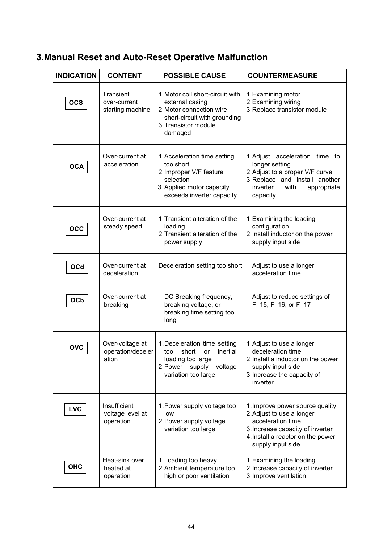### **3.Manual Reset and Auto-Reset Operative Malfunction**

| <b>INDICATION</b> | <b>CONTENT</b>                                | <b>POSSIBLE CAUSE</b>                                                                                                                                                                                                                                                   | <b>COUNTERMEASURE</b>                                                                                                                                                |  |  |
|-------------------|-----------------------------------------------|-------------------------------------------------------------------------------------------------------------------------------------------------------------------------------------------------------------------------------------------------------------------------|----------------------------------------------------------------------------------------------------------------------------------------------------------------------|--|--|
| <b>OCS</b>        | Transient<br>over-current<br>starting machine | 1. Motor coil short-circuit with<br>1. Examining motor<br>2. Examining wiring<br>external casing<br>3. Replace transistor module<br>2. Motor connection wire<br>short-circuit with grounding<br>3. Transistor module<br>damaged                                         |                                                                                                                                                                      |  |  |
| OCA               | Over-current at<br>acceleration               | 1. Acceleration time setting<br>too short<br>2. Improper V/F feature<br>selection<br>3. Applied motor capacity<br>exceeds inverter capacity                                                                                                                             | 1. Adjust acceleration time to<br>longer setting<br>2. Adjust to a proper V/F curve<br>3. Replace and install another<br>inverter<br>with<br>appropriate<br>capacity |  |  |
| $_{\rm occ}$      | Over-current at<br>steady speed               | 1. Transient alteration of the<br>1. Examining the loading<br>configuration<br>loading<br>2. Install inductor on the power<br>2. Transient alteration of the<br>supply input side<br>power supply                                                                       |                                                                                                                                                                      |  |  |
| $_{\mathsf{OCd}}$ | Over-current at<br>deceleration               | Deceleration setting too short                                                                                                                                                                                                                                          | Adjust to use a longer<br>acceleration time                                                                                                                          |  |  |
| OCb               | Over-current at<br>breaking                   | DC Breaking frequency,<br>breaking voltage, or<br>breaking time setting too<br>long                                                                                                                                                                                     | Adjust to reduce settings of<br>F 15, F 16, or F 17                                                                                                                  |  |  |
| <b>OVC</b>        | Over-voltage at<br>operation/deceler<br>ation | 1. Deceleration time setting<br>short<br>inertial<br>too<br>or<br>loading too large<br>2. Power supply<br>voltage<br>variation too large                                                                                                                                | 1. Adjust to use a longer<br>deceleration time<br>2. Install a inductor on the power<br>supply input side<br>3. Increase the capacity of<br>inverter                 |  |  |
| <b>LVC</b>        | Insufficient<br>voltage level at<br>operation | 1. Improve power source quality<br>1. Power supply voltage too<br>2. Adjust to use a longer<br>low<br>acceleration time<br>2. Power supply voltage<br>variation too large<br>3. Increase capacity of inverter<br>4. Install a reactor on the power<br>supply input side |                                                                                                                                                                      |  |  |
| ОНС               | Heat-sink over<br>heated at<br>operation      | 1. Loading too heavy<br>1. Examining the loading<br>2. Ambient temperature too<br>2. Increase capacity of inverter<br>3. Improve ventilation<br>high or poor ventilation                                                                                                |                                                                                                                                                                      |  |  |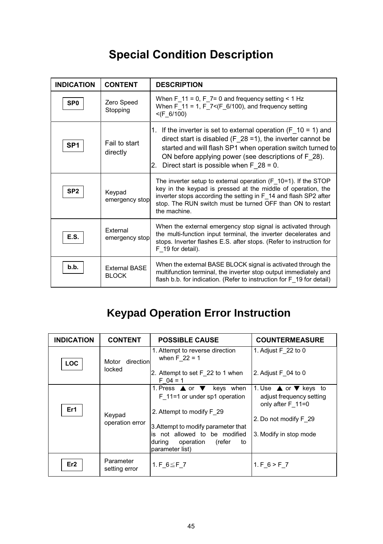# **Special Condition Description**

| <b>INDICATION</b> | <b>CONTENT</b>                       | <b>DESCRIPTION</b>                                                                                                                                                                                                                                                                                                       |  |
|-------------------|--------------------------------------|--------------------------------------------------------------------------------------------------------------------------------------------------------------------------------------------------------------------------------------------------------------------------------------------------------------------------|--|
| SP <sub>0</sub>   | Zero Speed<br>Stopping               | When F 11 = 0, F 7= 0 and frequency setting $<$ 1 Hz<br>When F 11 = 1, F $7 < (F \ 6/100)$ , and frequency setting<br>$<$ (F 6/100)                                                                                                                                                                                      |  |
| SP <sub>1</sub>   | Fail to start<br>directly            | 1. If the inverter is set to external operation ( $F$ 10 = 1) and<br>direct start is disabled ( $F$ 28 = 1), the inverter cannot be<br>started and will flash SP1 when operation switch turned to<br>ON before applying power (see descriptions of F 28).<br>Direct start is possible when $F$ 28 = 0.<br>2 <sup>2</sup> |  |
| SP <sub>2</sub>   | Keypad<br>emergency stop             | The inverter setup to external operation $(F 10=1)$ . If the STOP<br>key in the keypad is pressed at the middle of operation, the<br>inverter stops according the setting in F 14 and flash SP2 after<br>stop. The RUN switch must be turned OFF than ON to restart<br>the machine.                                      |  |
| E.S.              | External<br>emergency stop           | When the external emergency stop signal is activated through<br>the multi-function input terminal, the inverter decelerates and<br>stops. Inverter flashes E.S. after stops. (Refer to instruction for<br>F 19 for detail).                                                                                              |  |
| b.b.              | <b>External BASE</b><br><b>BLOCK</b> | When the external BASE BLOCK signal is activated through the<br>multifunction terminal, the inverter stop output immediately and<br>flash b.b. for indication. (Refer to instruction for F 19 for detail)                                                                                                                |  |

# **Keypad Operation Error Instruction**

| <b>INDICATION</b> | <b>CONTENT</b>               | <b>POSSIBLE CAUSE</b>                                                                                                                                                                                                                   | <b>COUNTERMEASURE</b>                                                                                                                        |  |
|-------------------|------------------------------|-----------------------------------------------------------------------------------------------------------------------------------------------------------------------------------------------------------------------------------------|----------------------------------------------------------------------------------------------------------------------------------------------|--|
| LOC               | direction<br>Motor<br>locked | 1. Attempt to reverse direction<br>when $F$ 22 = 1<br>2. Attempt to set F 22 to 1 when<br>$F = 04 = 1$                                                                                                                                  | 1. Adjust $F$ 22 to 0<br>2. Adjust $F$ 04 to 0                                                                                               |  |
| Er1               | Keypad<br>operation error    | 1. Press $\triangle$ or $\nabla$ keys when<br>F 11=1 or under sp1 operation<br>2. Attempt to modify F 29<br>3. Attempt to modify parameter that<br>is not allowed to be modified<br>operation (refer<br>during<br>to<br>parameter list) | 1. Use $\triangle$ or $\nabla$ keys to<br>adjust frequency setting<br>only after $F$ 11=0<br>2. Do not modify F 29<br>3. Modify in stop mode |  |
| Er <sub>2</sub>   | Parameter<br>setting error   | 1. F $6 \leq$ F 7                                                                                                                                                                                                                       | 1. $F_6 > F_7$                                                                                                                               |  |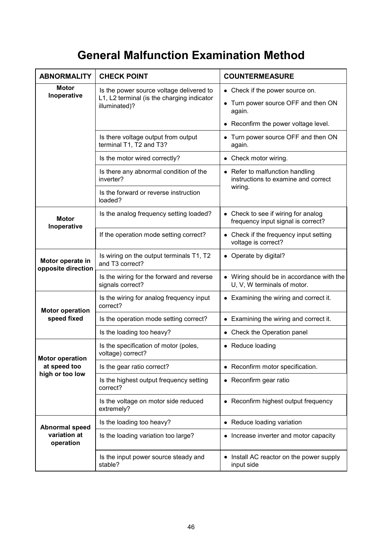# **General Malfunction Examination Method**

| <b>ABNORMALITY</b>                     | <b>CHECK POINT</b>                                                                                      | <b>COUNTERMEASURE</b>                                                                                                    |  |  |
|----------------------------------------|---------------------------------------------------------------------------------------------------------|--------------------------------------------------------------------------------------------------------------------------|--|--|
| Motor<br>Inoperative                   | Is the power source voltage delivered to<br>L1, L2 terminal (is the charging indicator<br>illuminated)? | • Check if the power source on.<br>• Turn power source OFF and then ON<br>again.<br>• Reconfirm the power voltage level. |  |  |
|                                        | Is there voltage output from output<br>terminal T1, T2 and T3?                                          | Turn power source OFF and then ON<br>again.                                                                              |  |  |
|                                        | Is the motor wired correctly?                                                                           | • Check motor wiring.                                                                                                    |  |  |
|                                        | Is there any abnormal condition of the<br>inverter?                                                     | • Refer to malfunction handling<br>instructions to examine and correct                                                   |  |  |
|                                        | Is the forward or reverse instruction<br>loaded?                                                        | wiring.                                                                                                                  |  |  |
| <b>Motor</b><br>Inoperative            | Is the analog frequency setting loaded?                                                                 | • Check to see if wiring for analog<br>frequency input signal is correct?                                                |  |  |
|                                        | If the operation mode setting correct?                                                                  | • Check if the frequency input setting<br>voltage is correct?                                                            |  |  |
| Motor operate in<br>opposite direction | Is wiring on the output terminals T1, T2<br>and T3 correct?                                             | • Operate by digital?                                                                                                    |  |  |
|                                        | Is the wiring for the forward and reverse<br>signals correct?                                           | • Wiring should be in accordance with the<br>U, V, W terminals of motor.                                                 |  |  |
| <b>Motor operation</b>                 | Is the wiring for analog frequency input<br>correct?                                                    | • Examining the wiring and correct it.                                                                                   |  |  |
| speed fixed                            | Is the operation mode setting correct?                                                                  | • Examining the wiring and correct it.                                                                                   |  |  |
|                                        | Is the loading too heavy?                                                                               | Check the Operation panel                                                                                                |  |  |
| <b>Motor operation</b>                 | Is the specification of motor (poles,<br>voltage) correct?                                              | • Reduce loading                                                                                                         |  |  |
| at speed too                           | Is the gear ratio correct?                                                                              | • Reconfirm motor specification.                                                                                         |  |  |
| high or too low                        | Is the highest output frequency setting<br>correct?                                                     | • Reconfirm gear ratio                                                                                                   |  |  |
|                                        | Is the voltage on motor side reduced<br>extremely?                                                      | • Reconfirm highest output frequency                                                                                     |  |  |
| Abnormal speed                         | Is the loading too heavy?                                                                               | • Reduce loading variation                                                                                               |  |  |
| variation at<br>operation              | Is the loading variation too large?                                                                     | Increase inverter and motor capacity                                                                                     |  |  |
|                                        | Is the input power source steady and<br>stable?                                                         | • Install AC reactor on the power supply<br>input side                                                                   |  |  |